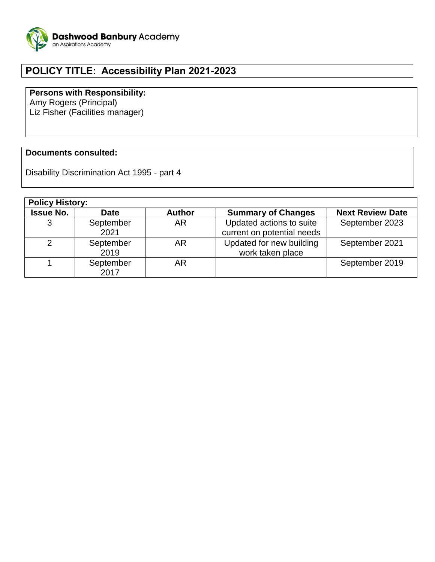

## **POLICY TITLE: Accessibility Plan 2021-2023**

**Persons with Responsibility:** Amy Rogers (Principal) Liz Fisher (Facilities manager)

## **Documents consulted:**

Disability Discrimination Act 1995 - part 4

| <b>Policy History:</b> |                   |               |                                                        |                         |  |  |  |  |
|------------------------|-------------------|---------------|--------------------------------------------------------|-------------------------|--|--|--|--|
| <b>Issue No.</b>       | <b>Date</b>       | <b>Author</b> | <b>Summary of Changes</b>                              | <b>Next Review Date</b> |  |  |  |  |
| 3                      | September<br>2021 | <b>AR</b>     | Updated actions to suite<br>current on potential needs | September 2023          |  |  |  |  |
|                        |                   |               |                                                        |                         |  |  |  |  |
| 2                      | September<br>2019 | <b>AR</b>     | Updated for new building<br>work taken place           | September 2021          |  |  |  |  |
|                        | September<br>2017 | AR.           |                                                        | September 2019          |  |  |  |  |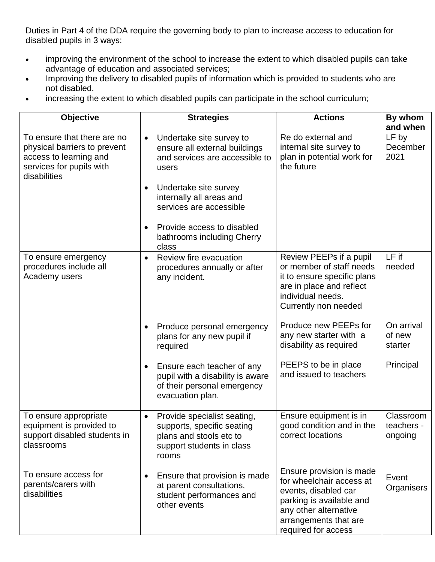Duties in Part 4 of the DDA require the governing body to plan to increase access to education for disabled pupils in 3 ways:

- improving the environment of the school to increase the extent to which disabled pupils can take advantage of education and associated services;
- Improving the delivery to disabled pupils of information which is provided to students who are not disabled.
- increasing the extent to which disabled pupils can participate in the school curriculum;

| <b>Objective</b>                                                                                                                  | <b>Strategies</b>                                                                                                               | <b>Actions</b>                                                                                                                                                                    | By whom                            |
|-----------------------------------------------------------------------------------------------------------------------------------|---------------------------------------------------------------------------------------------------------------------------------|-----------------------------------------------------------------------------------------------------------------------------------------------------------------------------------|------------------------------------|
|                                                                                                                                   |                                                                                                                                 |                                                                                                                                                                                   | and when                           |
| To ensure that there are no<br>physical barriers to prevent<br>access to learning and<br>services for pupils with<br>disabilities | Undertake site survey to<br>$\bullet$<br>ensure all external buildings<br>and services are accessible to<br>users               | Re do external and<br>internal site survey to<br>plan in potential work for<br>the future                                                                                         | LF by<br>December<br>2021          |
|                                                                                                                                   | Undertake site survey<br>٠<br>internally all areas and<br>services are accessible                                               |                                                                                                                                                                                   |                                    |
|                                                                                                                                   | Provide access to disabled<br>bathrooms including Cherry<br>class                                                               |                                                                                                                                                                                   |                                    |
| To ensure emergency<br>procedures include all<br>Academy users                                                                    | Review fire evacuation<br>$\bullet$<br>procedures annually or after<br>any incident.                                            | Review PEEPs if a pupil<br>or member of staff needs<br>it to ensure specific plans<br>are in place and reflect<br>individual needs.<br>Currently non needed                       | $LF$ if<br>needed                  |
|                                                                                                                                   | Produce personal emergency<br>plans for any new pupil if<br>required                                                            | Produce new PEEPs for<br>any new starter with a<br>disability as required                                                                                                         | On arrival<br>of new<br>starter    |
|                                                                                                                                   | Ensure each teacher of any<br>٠<br>pupil with a disability is aware<br>of their personal emergency<br>evacuation plan.          | PEEPS to be in place<br>and issued to teachers                                                                                                                                    | Principal                          |
| To ensure appropriate<br>equipment is provided to<br>support disabled students in<br>classrooms                                   | Provide specialist seating,<br>٠<br>supports, specific seating<br>plans and stools etc to<br>support students in class<br>rooms | Ensure equipment is in<br>good condition and in the<br>correct locations                                                                                                          | Classroom<br>teachers -<br>ongoing |
| To ensure access for<br>parents/carers with<br>disabilities                                                                       | Ensure that provision is made<br>at parent consultations,<br>student performances and<br>other events                           | Ensure provision is made<br>for wheelchair access at<br>events, disabled car<br>parking is available and<br>any other alternative<br>arrangements that are<br>required for access | Event<br>Organisers                |